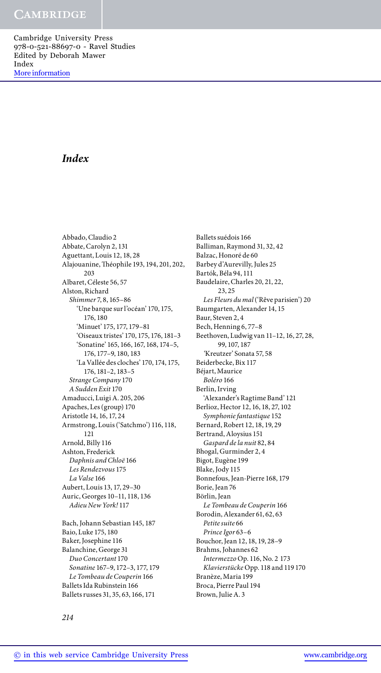# *Index*

Abbado, Claudio 2 Abbate, Carolyn 2, 131 Aguettant, Louis 12, 18, 28 Alajouanine, Théophile 193, 194, 201, 202, 203 Albaret, Céleste 56, 57 Alston, Richard *Shimmer* 7, 8, 165–86 'Une barque sur l'océan' 170, 175, 176, 180 'Minuet' 175, 177, 179–81 'Oiseaux tristes' 170, 175, 176, 181–3 'Sonatine' 165, 166, 167, 168, 174–5, 176, 177–9, 180, 183 'La Vallée des cloches' 170, 174, 175, 176, 181–2, 183–5 *Strange Company* 170 *A Sudden Exit* 170 Amaducci, Luigi A. 205, 206 Apaches, Les (group) 170 Aristotle 14, 16, 17, 24 Armstrong, Louis ('Satchmo') 116, 118, 121 Arnold, Billy 116 Ashton, Frederick *Daphnis and Chloë* 166 *Les Rendezvous* 175 *La Valse* 166 Aubert, Louis 13, 17, 29–30 Auric, Georges 10–11, 118, 136 *Adieu New York!* 117

Bach, Johann Sebastian 145, 187 Baio, Luke 175, 180 Baker, Josephine 116 Balanchine, George 31 *Duo Concertant* 170 *Sonatine* 167–9, 172–3, 177, 179 *Le Tombeau de Couperin* 166 Ballets Ida Rubinstein 166 Ballets russes 31, 35, 63, 166, 171

Ballets suédois 166 Balliman, Raymond 31, 32, 42 Balzac, Honoré de 60 Barbey d'Aurevilly, Jules 25 Bartók, Béla 94, 111 Baudelaire, Charles 20, 21, 22, 23, 25 *Les Fleurs du mal* ('Rêve parisien') 20 Baumgarten, Alexander 14, 15 Baur, Steven 2, 4 Bech, Henning 6, 77–8 Beethoven, Ludwig van 11–12, 16, 27, 28, 99, 107, 187 *'*Kreutzer' Sonata 57, 58 Beiderbecke, Bix 117 Béjart, Maurice *Boléro* 166 Berlin, Irving 'Alexander's Ragtime Band' 121 Berlioz, Hector 12, 16, 18, 27, 102 *Symphonie fantastique* 152 Bernard, Robert 12, 18, 19, 29 Bertrand, Aloysius 151 *Gaspard de la nuit* 82, 84 Bhogal, Gurminder 2, 4 Bigot, Eugène 199 Blake, Jody 115 Bonnefous, Jean-Pierre 168, 179 Borie, Jean 76 Börlin, Jean *Le Tombeau de Couperin* 166 Borodin, Alexander 61, 62, 63 *Petite suite* 66 *Prince Igor* 63–6 Bouchor, Jean 12, 18, 19, 28–9 Brahms, Johannes 62 *Intermezzo* Op. 116, No. 2 173 *Klavierstücke* Opp. 118 and 119 170 Branèze, Maria 199 Broca, Pierre Paul 194

Brown, Julie A. 3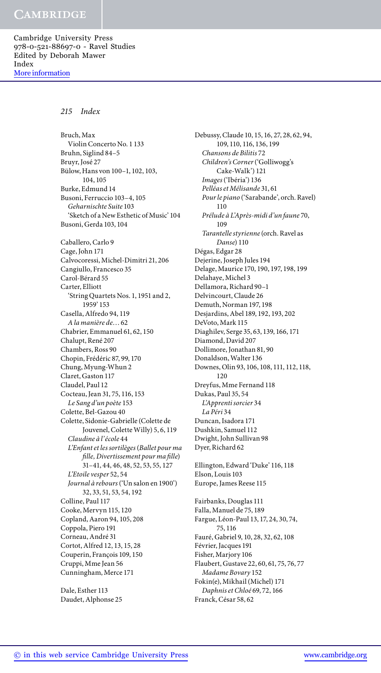## *215 Index*

Bruch, Max Violin Concerto No. 1 133 Bruhn, Siglind 84–5 Bruyr, José 27 Bülow, Hans von 100–1, 102, 103, 104, 105 Burke, Edmund 14 Busoni, Ferruccio 103–4, 105 *Geharnischte Suite* 103 'Sketch of a New Esthetic of Music' 104 Busoni, Gerda 103, 104 Caballero, Carlo 9 Cage, John 171 Calvocoressi, Michel-Dimitri 21, 206 Cangiullo, Francesco 35 Carol-Bérard 55 Carter, Elliott 'String Quartets Nos. 1, 1951 and 2, 1959' 153 Casella, Alfredo 94, 119 *A la manière de*…62 Chabrier, Emmanuel 61, 62, 150 Chalupt, René 207 Chambers, Ross 90 Chopin, Frédéric 87, 99, 170 Chung, Myung-Whun 2 Claret, Gaston 117 Claudel, Paul 12 Cocteau, Jean 31, 75, 116, 153 *Le Sang d'un poète* 153 Colette, Bel-Gazou 40 Colette, Sidonie-Gabrielle (Colette de Jouvenel, Colette Willy) 5, 6, 119 *Claudine à l'école* 44 *L'Enfant et les sortilèges* (*Ballet pour ma fille, Divertissement pour ma fille*) 31–41, 44, 46, 48, 52, 53, 55, 127 *L'Etoile vesper* 52, 54 *Journal à rebours* ('Un salon en 1900') 32, 33, 51, 53, 54, 192 Colline, Paul 117 Cooke, Mervyn 115, 120 Copland, Aaron 94, 105, 208 Coppola, Piero 191 Corneau, André 31 Cortot, Alfred 12, 13, 15, 28 Couperin, François 109, 150 Cruppi, Mme Jean 56 Cunningham, Merce 171 Dale, Esther 113

Daudet, Alphonse 25

Debussy, Claude 10, 15, 16, 27, 28, 62, 94, 109, 110, 116, 136, 199 *Chansons de Bilitis* 72 *Children's Corner* ('Golliwogg's Cake-Walk') 121 *Images* ('Ibéria') 136 *Pelléas et Mélisande* 31, 61 *Pour le piano* ('Sarabande', orch. Ravel) 110 *Prélude à L'Après-midi d'un faune* 70, 109 *Tarantelle styrienne* (orch. Ravel as *Danse*) 110 Dégas, Edgar 28 Dejerine, Joseph Jules 194 Delage, Maurice 170, 190, 197, 198, 199 Delahaye, Michel 3 Dellamora, Richard 90–1 Delvincourt, Claude 26 Demuth, Norman 197, 198 Desjardins, Abel 189, 192, 193, 202 DeVoto, Mark 115 Diaghilev, Serge 35, 63, 139, 166, 171 Diamond, David 207 Dollimore, Jonathan 81, 90 Donaldson, Walter 136 Downes, Olin 93, 106, 108, 111, 112, 118, 120 Dreyfus, Mme Fernand 118 Dukas, Paul 35, 54 *L'Apprenti sorcier* 34 *La Péri* 34 Duncan, Isadora 171 Dushkin, Samuel 112 Dwight, John Sullivan 98 Dyer, Richard 62 Ellington, Edward 'Duke' 116, 118 Elson, Louis 103 Europe, James Reese 115 Fairbanks, Douglas 111 Falla, Manuel de 75, 189 Fargue, Léon-Paul 13, 17, 24, 30, 74, 75, 116 Fauré, Gabriel 9, 10, 28, 32, 62, 108 Février, Jacques 191 Fisher, Marjory 106 Flaubert, Gustave 22, 60, 61, 75, 76, 77

*Madame Bovary* 152 Fokin(e), Mikhail (Michel) 171 *Daphnis et Chloé* 69, 72, 166 Franck, César 58, 62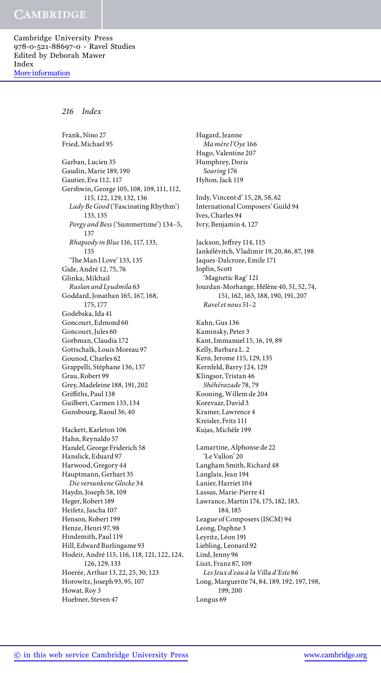*216 Index*

Frank, Nino 27 Fried, Michael 95

Garban, Lucien 35 Gaudin, Marie 189, 190 Gautier, Eva 112, 117 Gershwin, George 105, 108, 109, 111, 112, 115, 122, 129, 132, 136 *Lady Be Good* ('Fascinating Rhythm') 133, 135 *Porgy and Bess* ('Summertime') 134–5, 137 *Rhapsody in Blue* 116, 117, 133, 135 'The Man I Love' 133, 135 Gide, André 12, 75, 76 Glinka, Mikhail *Ruslan and Lyudmila* 63 Goddard, Jonathan 165, 167, 168, 175, 177 Godebska, Ida 41 Goncourt, Edmond 60 Goncourt, Jules 60 Gorbman, Claudia 172 Gottschalk, Louis Moreau 97 Gounod, Charles 62 Grappelli, Stéphane 136, 137 Grau, Robert 99 Grey, Madeleine 188, 191, 202 Griffiths, Paul 138 Guilbert, Carmen 133, 134

Hackett, Karleton 106 Hahn, Reynaldo 57 Handel, George Friderich 58 Hanslick, Eduard 97 Harwood, Gregory 44 Hauptmann, Gerhart 35 *Die versunkene Glocke* 34 Haydn, Joseph 58, 109 Heger, Robert 189 Heifetz, Jascha 107 Henson, Robert 199 Henze, Henri 97, 98 Hindemith, Paul 119 Hill, Edward Burlingame 93 Hodeir, André 115, 116, 118, 121, 122, 124, 126, 129, 133 Hoerée, Arthur 13, 22, 25, 30, 123 Horowitz, Joseph 93, 95, 107 Howat, Roy 3 Huebner, Steven 47

Gunsbourg, Raoul 36, 40

Hugard, Jeanne *Ma mère l'Oye* 166 Hugo, Valentine 207 Humphrey, Doris *Soaring* 176 Hylton, Jack 119 Indy, Vincent d' 15, 28, 58, 62 International Composers' Guild 94 Ives, Charles 94 Ivry, Benjamin 4, 127 Jackson, Jeffrey 114, 115 Jankélévitch, Vladimir 19, 20, 86, 87, 198 Jaques-Dalcroze, Emile 171 Joplin, Scott 'Magnetic Rag' 121 Jourdan-Morhange, Hélène 40, 51, 52, 74, 151, 162, 163, 188, 190, 191, 207 *Ravel et nous* 51–2 Kahn, Gus 136 Kaminsky, Peter 3 Kant, Immanuel 15, 16, 19, 89 Kelly, Barbara L. 2 Kern, Jerome 115, 129, 135 Kernfeld, Barry 124, 129 Klingsor, Tristan 46 *Shéhérazade* 78, 79 Kooning, Willem de 204 Korevaar, David 3 Kramer, Lawrence 4 Kreisler, Fritz 111 Kujas, Michèle 199 Lamartine, Alphonse de 22 'Le Vallon' 20 Langham Smith, Richard 48 Langlais, Jean 194 Lanier, Harriet 104 Lassus, Marie-Pierre 41 Lawrance, Martin 174, 175, 182, 183, 184, 185 League of Composers (ISCM) 94 Leong, Daphne 3 Leyritz, Léon 191 Liebling, Leonard 92 Lind, Jenny 96 Liszt, Franz 87, 109 *Les Jeux d'eau à la Villa d'Este* 86 Long, Marguerite 74, 84, 189, 192, 197, 198, 199, 200 Longus 69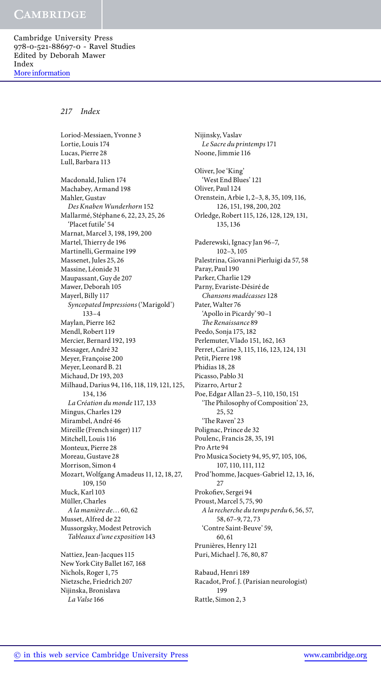# *217 Index*

Loriod-Messiaen, Yvonne 3

Lortie, Louis 174 Lucas, Pierre 28 Lull, Barbara 113 Macdonald, Julien 174 Machabey, Armand 198 Mahler, Gustav *Des Knaben Wunderhorn* 152 Mallarmé, Stéphane 6, 22, 23, 25, 26 'Placet futile' 54 Marnat, Marcel 3, 198, 199, 200 Martel, Thierry de 196 Martinelli, Germaine 199 Massenet, Jules 25, 26 Massine, Léonide 31 Maupassant, Guy de 207 Mawer, Deborah 105 Mayerl, Billy 117 *Syncopated Impressions* ('Marigold') 133–4 Maylan, Pierre 162 Mendl, Robert 119 Mercier, Bernard 192, 193 Messager, André 32 Meyer, Françoise 200 Meyer, Leonard B. 21 Michaud, Dr 193, 203 Milhaud, Darius 94, 116, 118, 119, 121, 125, 134, 136 *La Création du monde* 117, 133 Mingus, Charles 129 Mirambel, André 46 Mireille (French singer) 117 Mitchell, Louis 116 Monteux, Pierre 28 Moreau, Gustave 28 Morrison, Simon 4 Mozart, Wolfgang Amadeus 11, 12, 18, 27, 109, 150 Muck, Karl 103 Müller, Charles *A la manière de*…60, 62 Musset, Alfred de 22 Mussorgsky, Modest Petrovich *Tableaux d'une exposition* 143

Nattiez, Jean-Jacques 115 New York City Ballet 167, 168 Nichols, Roger 1, 75 Nietzsche, Friedrich 207 Nijinska, Bronislava *La Valse* 166

Nijinsky, Vaslav *Le Sacre du printemps* 171 Noone, Jimmie 116 Oliver, Joe 'King' 'West End Blues' 121 Oliver, Paul 124 Orenstein, Arbie 1, 2–3, 8, 35, 109, 116, 126, 151, 198, 200, 202 Orledge, Robert 115, 126, 128, 129, 131, 135, 136 Paderewski, Ignacy Jan 96–7, 102–3, 105 Palestrina, Giovanni Pierluigi da 57, 58 Paray, Paul 190 Parker, Charlie 129 Parny, Evariste-Désiré de *Chansons madécasses* 128 Pater, Walter 76 'Apollo in Picardy' 90–1 *The Renaissance* 89 Peedo, Sonja 175, 182 Perlemuter, Vlado 151, 162, 163 Perret, Carine 3, 115, 116, 123, 124, 131 Petit, Pierre 198 Phidias 18, 28 Picasso, Pablo 31 Pizarro, Artur 2 Poe, Edgar Allan 23–5, 110, 150, 151 'The Philosophy of Composition' 23, 25, 52 'The Raven' 23 Polignac, Prince de 32 Poulenc, Francis 28, 35, 191 Pro Arte 94 Pro Musica Society 94, 95, 97, 105, 106, 107, 110, 111, 112 Prod'homme, Jacques-Gabriel 12, 13, 16, 27 Prokofiev, Sergei 94 Proust, Marcel 5, 75, 90 *A la recherche du temps perdu* 6, 56, 57, 58, 67–9, 72, 73 'Contre Saint-Beuve' 59, 60, 61 Prunières, Henry 121 Puri, Michael J. 76, 80, 87 Rabaud, Henri 189 Racadot, Prof. J. (Parisian neurologist) 199

Rattle, Simon 2, 3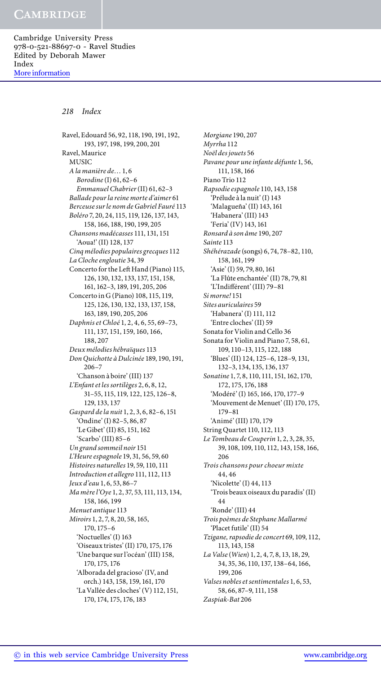### *218 Index*

Ravel, Edouard 56, 92, 118, 190, 191, 192, 193, 197, 198, 199, 200, 201 Ravel, Maurice MUSIC *A la manière de*…1, 6 *Borodine* (I) 61, 62–6 *Emmanuel Chabrier* (II) 61, 62–3 *Ballade pour la reine morte d'aimer* 61 *Berceuse sur le nom de Gabriel Fauré* 113 *Boléro* 7, 20, 24, 115, 119, 126, 137, 143, 158, 166, 188, 190, 199, 205 *Chansons madécasses* 111, 131, 151 'Aoua!' (II) 128, 137 *Cinq mélodies populaires grecques* 112 *La Cloche engloutie* 34, 39 Concerto for the Left Hand (Piano) 115, 126, 130, 132, 133, 137, 151, 158, 161, 162–3, 189, 191, 205, 206 Concerto in G (Piano) 108, 115, 119, 125, 126, 130, 132, 133, 137, 158, 163, 189, 190, 205, 206 *Daphnis et Chloé* 1, 2, 4, 6, 55, 69–73, 111, 137, 151, 159, 160, 166, 188, 207 *Deux mélodies hébraïques* 113 *Don Quichotte à Dulcinée* 189, 190, 191, 206–7 'Chanson à boire' (III) 137 *L'Enfant et les sortilèges* 2, 6, 8, 12, 31–55, 115, 119, 122, 125, 126–8, 129, 133, 137 *Gaspard de la nuit* 1, 2, 3, 6, 82–6, 151 'Ondine' (I) 82–5, 86, 87 'Le Gibet' (II) 85, 151, 162 'Scarbo' (III) 85–6 *Un grand sommeil noir* 151 *L'Heure espagnole* 19, 31, 56, 59, 60 *Histoires naturelles* 19, 59, 110, 111 *Introduction et allegro* 111, 112, 113 *Jeux d'eau* 1, 6, 53, 86–7 *Ma mère l'Oye* 1, 2, 37, 53, 111, 113, 134, 158, 166, 199 *Menuet antique* 113 *Miroirs* 1, 2, 7, 8, 20, 58, 165, 170, 175–6 'Noctuelles' (I) 163 'Oiseaux tristes' (II) 170, 175, 176 'Une barque sur l'océan' (III) 158, 170, 175, 176 'Alborada del gracioso' (IV, and orch.) 143, 158, 159, 161, 170 'La Vallée des cloches' (V) 112, 151, 170, 174, 175, 176, 183

*Morgiane* 190, 207 *Myrrha* 112 *Noël des jouets* 56 *Pavane pour une infante défunte* 1, 56, 111, 158, 166 Piano Trio 112 *Rapsodie espagnole* 110, 143, 158 'Prélude à la nuit' (I) 143 'Malagueña' (II) 143, 161 'Habanera' (III) 143 'Feria' (IV) 143, 161 *Ronsard à son âme* 190, 207 *Sainte* 113 *Shéhérazade* (songs) 6, 74, 78–82, 110, 158, 161, 199 'Asie' (I) 59, 79, 80, 161 'La Flûte enchantée' (II) 78, 79, 81 'L'Indifférent' (III) 79–81 *Si morne!* 151 *Sites auriculaires* 59 'Habanera' (I) 111, 112 'Entre cloches' (II) 59 Sonata for Violin and Cello 36 Sonata for Violin and Piano 7, 58, 61, 109, 110–13, 115, 122, 188 'Blues' (II) 124, 125–6, 128–9, 131, 132–3, 134, 135, 136, 137 *Sonatine* 1, 7, 8, 110, 111, 151, 162, 170, 172, 175, 176, 188 'Modéré' (I) 165, 166, 170, 177–9 'Mouvement de Menuet' (II) 170, 175, 179–81 'Animé' (III) 170, 179 String Quartet 110, 112, 113 *Le Tombeau de Couperin* 1, 2, 3, 28, 35, 39, 108, 109, 110, 112, 143, 158, 166, 206 *Trois chansons pour choeur mixte* 44, 46 'Nicolette' (I) 44, 113 'Trois beaux oiseaux du paradis' (II) 44 'Ronde' (III) 44 *Trois poèmes de Stephane Mallarmé* 'Placet futile' (II) 54 *Tzigane, rapsodie de concert* 69, 109, 112, 113, 143, 158 *La Valse* (*Wien*) 1, 2, 4, 7, 8, 13, 18, 29, 34, 35, 36, 110, 137, 138–64, 166, 199, 206 *Valses nobles et sentimentales* 1, 6, 53, 58, 66, 87–9, 111, 158 *Zaspiak-Bat* 206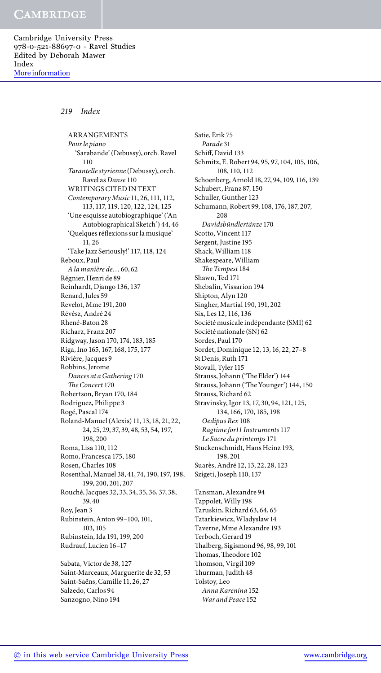## *219 Index*

ARRANGEMENTS *Pour le piano* 'Sarabande' (Debussy), orch. Ravel 110 *Tarantelle styrienne* (Debussy), orch. Ravel as *Danse* 110 WRITINGS CITED IN TEXT *Contemporary Music* 11, 26, 111, 112, 113, 117, 119, 120, 122, 124, 125 'Une esquisse autobiographique' ('An Autobiographical Sketch') 44, 46 'Quelques réflexions sur la musique' 11, 26 'Take Jazz Seriously!' 117, 118, 124 Reboux, Paul *A la manière de*…60, 62 Régnier, Henri de 89 Reinhardt, Django 136, 137 Renard, Jules 59 Revelot, Mme 191, 200 Révész, André 24 Rhené-Baton 28 Richarz, Franz 207 Ridgway, Jason 170, 174, 183, 185 Riga, Ino 165, 167, 168, 175, 177 Rivière, Jacques 9 Robbins, Jerome *Dances at a Gathering* 170 *The Concert* 170 Robertson, Bryan 170, 184 Rodriguez, Philippe 3 Rogé, Pascal 174 Roland-Manuel (Alexis) 11, 13, 18, 21, 22, 24, 25, 29, 37, 39, 48, 53, 54, 197, 198, 200 Roma, Lisa 110, 112 Romo, Francesca 175, 180 Rosen, Charles 108 Rosenthal, Manuel 38, 41, 74, 190, 197, 198, 199, 200, 201, 207 Rouché, Jacques 32, 33, 34, 35, 36, 37, 38, 39, 40 Roy, Jean 3 Rubinstein, Anton 99–100, 101, 103, 105 Rubinstein, Ida 191, 199, 200 Rudrauf, Lucien 16–17 Sabata, Victor de 38, 127 Saint-Marceaux, Marguerite de 32, 53 Saint-Saëns, Camille 11, 26, 27

Satie, Erik 75 *Parade* 31 Schiff, David 133 Schmitz, E. Robert 94, 95, 97, 104, 105, 106, 108, 110, 112 Schoenberg, Arnold 18, 27, 94, 109, 116, 139 Schubert, Franz 87, 150 Schuller, Gunther 123 Schumann, Robert 99, 108, 176, 187, 207, 208 *Davidsbündlertänze* 170 Scotto, Vincent 117 Sergent, Justine 195 Shack, William 118 Shakespeare, William *The Tempest* 184 Shawn, Ted 171 Shebalin, Vissarion 194 Shipton, Alyn 120 Singher, Martial 190, 191, 202 Six, Les 12, 116, 136 Société musicale indépendante (SMI) 62 Société nationale (SN) 62 Sordes, Paul 170 Sordet, Dominique 12, 13, 16, 22, 27–8 St Denis, Ruth 171 Stovall, Tyler 115 Strauss, Johann ('The Elder') 144 Strauss, Johann ('The Younger') 144, 150 Strauss, Richard 62 Stravinsky, Igor 13, 17, 30, 94, 121, 125, 134, 166, 170, 185, 198 *Oedipus Rex* 108 *Ragtime for11 Instruments* 117 *Le Sacre du printemps* 171 Stuckenschmidt, Hans Heinz 193, 198, 201 Suarès, André 12, 13, 22, 28, 123 Szigeti, Joseph 110, 137 Tansman, Alexandre 94 Tappolet, Willy 198 Taruskin, Richard 63, 64, 65 Tatarkiewicz, Wladyslaw 14 Taverne, Mme Alexandre 193 Terboch, Gerard 19 Thalberg, Sigismond 96, 98, 99, 101 Thomas, Theodore 102 Thomson, Virgil 109 Thurman, Judith 48 Tolstoy, Leo *Anna Karenina* 152 *War and Peace* 152

Salzedo, Carlos 94 Sanzogno, Nino 194